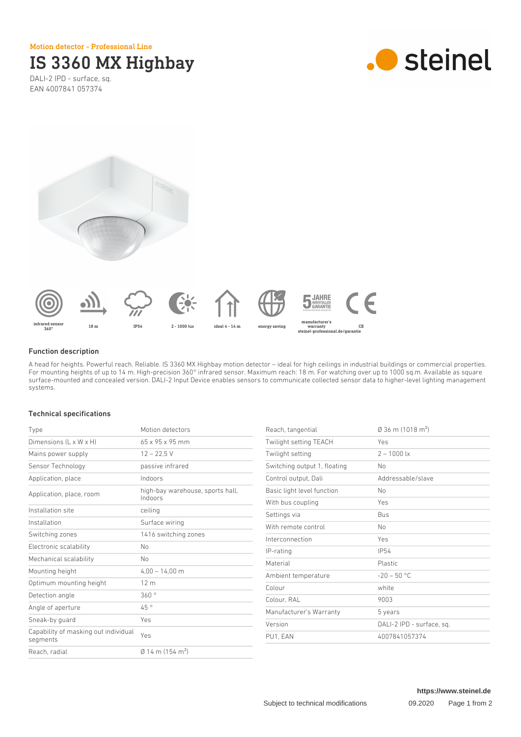Motion detector - Professional Line

# IS 3360 MX Highbay

DALI-2 IPD - surface, sq. EAN 4007841 057374







### Function description

A head for heights. Powerful reach. Reliable. IS 3360 MX Highbay motion detector – ideal for high ceilings in industrial buildings or commercial properties. For mounting heights of up to 14 m. High-precision 360° infrared sensor. Maximum reach: 18 m. For watching over up to 1000 sq.m. Available as square surface-mounted and concealed version. DALI-2 Input Device enables sensors to communicate collected sensor data to higher-level lighting management systems.

# Technical specifications

| Type                                             | Motion detectors                            |
|--------------------------------------------------|---------------------------------------------|
| Dimensions $(L \times W \times H)$               | 65 x 95 x 95 mm                             |
| Mains power supply                               | $12 - 22.5$ V                               |
| Sensor Technology                                | passive infrared                            |
| Application, place                               | Indoors                                     |
| Application, place, room                         | high-bay warehouse, sports hall,<br>Indoors |
| Installation site                                | ceiling                                     |
| Installation                                     | Surface wiring                              |
| Switching zones                                  | 1416 switching zones                        |
| Electronic scalability                           | Nο                                          |
| Mechanical scalability                           | Nο                                          |
| Mounting height                                  | $4,00 - 14,00$ m                            |
| Optimum mounting height                          | 12 <sub>m</sub>                             |
| Detection angle                                  | 360°                                        |
| Angle of aperture                                | 45°                                         |
| Sneak-by guard                                   | Yes                                         |
| Capability of masking out individual<br>segments | Yes                                         |
| Reach, radial                                    | $\emptyset$ 14 m (154 m <sup>2</sup> )      |

| Reach, tangential            | $\varnothing$ 36 m (1018 m <sup>2</sup> ) |
|------------------------------|-------------------------------------------|
| Twilight setting TEACH       | Yes                                       |
| Twilight setting             | $2 - 1000$ lx                             |
| Switching output 1, floating | N <sub>0</sub>                            |
| Control output, Dali         | Addressable/slave                         |
| Basic light level function   | No                                        |
| With bus coupling            | Yes                                       |
| Settings via                 | <b>Bus</b>                                |
| With remote control          | No                                        |
| Interconnection              | Yes                                       |
| IP-rating                    | <b>IP54</b>                               |
| Material                     | Plastic                                   |
| Ambient temperature          | $-20 - 50$ °C                             |
| Colour                       | white                                     |
| Colour, RAL                  | 9003                                      |
| Manufacturer's Warranty      | 5 years                                   |
| Version                      | DALI-2 IPD - surface, sq.                 |
| PU1. EAN                     | 4007841057374                             |